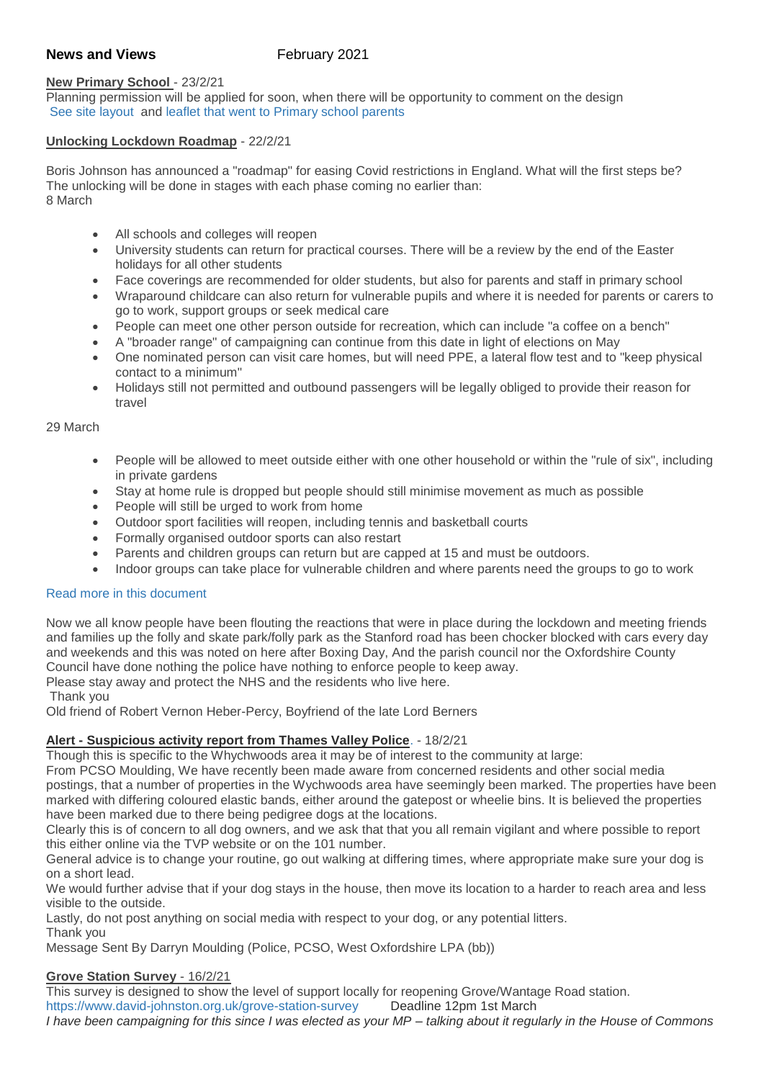# **News and Views** February 2021

### **New Primary School** - 23/2/21

Planning permission will be applied for soon, when there will be opportunity to comment on the design [See site layout](http://weebly-file/1/4/7/6/14765418/faringdon_park_primary_school_councillor_meet_copy.pdf) and [leaflet that went to Primary school parents](http://weebly-file/1/4/7/6/14765418/new_primary_school_newsletterfeb2021.pdf)

### **Unlocking Lockdown Roadmap** - 22/2/21

Boris Johnson has announced a "roadmap" for easing Covid restrictions in England. What will the first steps be? The unlocking will be done in stages with each phase coming no earlier than: 8 March

- All schools and colleges will reopen
- University students can return for practical courses. There will be a review by the end of the Easter holidays for all other students
- Face coverings are recommended for older students, but also for parents and staff in primary school
- Wraparound childcare can also return for vulnerable pupils and where it is needed for parents or carers to go to work, support groups or seek medical care
- People can meet one other person outside for recreation, which can include "a coffee on a bench"
- A "broader range" of campaigning can continue from this date in light of elections on May
- One nominated person can visit care homes, but will need PPE, a lateral flow test and to "keep physical contact to a minimum"
- Holidays still not permitted and outbound passengers will be legally obliged to provide their reason for travel

#### 29 March

- People will be allowed to meet outside either with one other household or within the "rule of six", including in private gardens
- Stay at home rule is dropped but people should still minimise movement as much as possible
- People will still be urged to work from home
- Outdoor sport facilities will reopen, including tennis and basketball courts
- Formally organised outdoor sports can also restart
- Parents and children groups can return but are capped at 15 and must be outdoors.
- Indoor groups can take place for vulnerable children and where parents need the groups to go to work

### [Read more in this document](http://weebly-file/1/4/7/6/14765418/lockdown_rules_from_mar_8_2021.pdf)

Now we all know people have been flouting the reactions that were in place during the lockdown and meeting friends and families up the folly and skate park/folly park as the Stanford road has been chocker blocked with cars every day and weekends and this was noted on here after Boxing Day, And the parish council nor the Oxfordshire County Council have done nothing the police have nothing to enforce people to keep away.

Please stay away and protect the NHS and the residents who live here.

Thank you

Old friend of Robert Vernon Heber-Percy, Boyfriend of the late Lord Berners

# **Alert - [Suspicious activity report from Thames Valley Police](https://nextdoor.co.uk/p/hTmBm54LhDW8?view=detail)**. - 18/2/21

Though this is specific to the Whychwoods area it may be of interest to the community at large:

From PCSO Moulding, We have recently been made aware from concerned residents and other social media postings, that a number of properties in the Wychwoods area have seemingly been marked. The properties have been marked with differing coloured elastic bands, either around the gatepost or wheelie bins. It is believed the properties have been marked due to there being pedigree dogs at the locations.

Clearly this is of concern to all dog owners, and we ask that that you all remain vigilant and where possible to report this either online via the TVP website or on the 101 number.

General advice is to change your routine, go out walking at differing times, where appropriate make sure your dog is on a short lead.

We would further advise that if your dog stays in the house, then move its location to a harder to reach area and less visible to the outside.

Lastly, do not post anything on social media with respect to your dog, or any potential litters.

Thank you

Message Sent By Darryn Moulding (Police, PCSO, West Oxfordshire LPA (bb))

# **Grove Station Survey** - 16/2/21

This survey is designed to show the level of support locally for reopening Grove/Wantage Road station. <https://www.david-johnston.org.uk/grove-station-survey>Deadline 12pm 1st March

*I have been campaigning for this since I was elected as your MP – talking about it regularly in the House of Commons*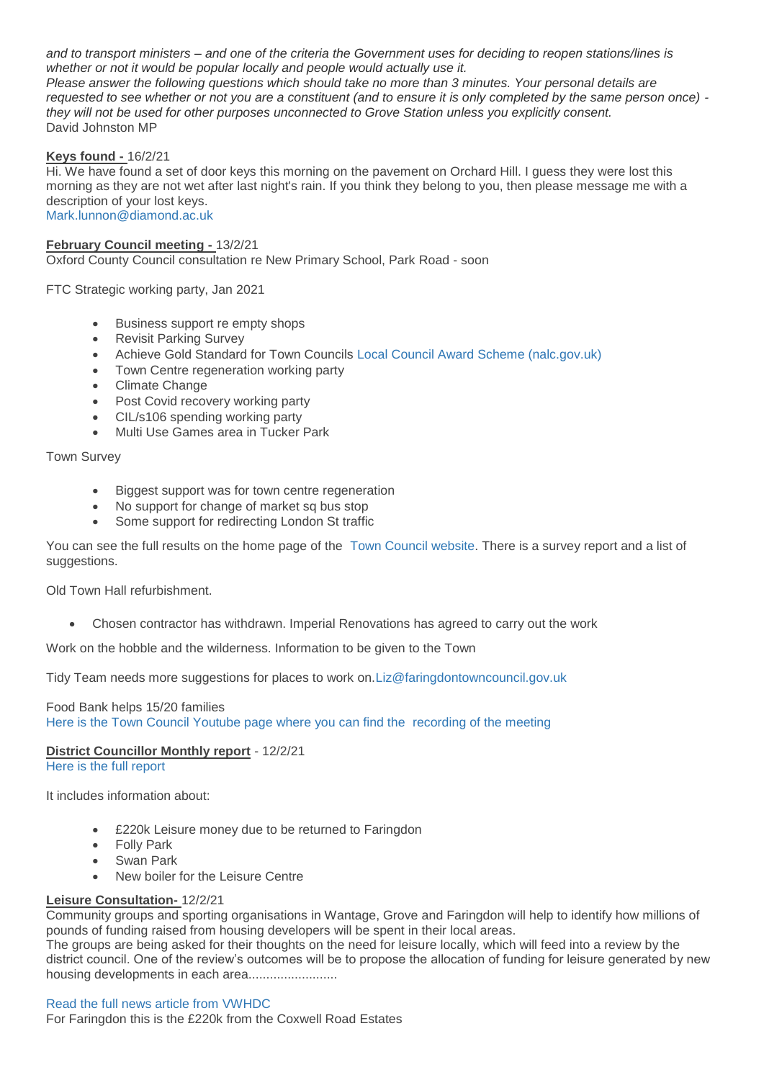*and to transport ministers – and one of the criteria the Government uses for deciding to reopen stations/lines is whether or not it would be popular locally and people would actually use it.*

*Please answer the following questions which should take no more than 3 minutes. Your personal details are requested to see whether or not you are a constituent (and to ensure it is only completed by the same person once) they will not be used for other purposes unconnected to Grove Station unless you explicitly consent.* David Johnston MP

#### **Keys found -** 16/2/21

Hi. We have found a set of door keys this morning on the pavement on Orchard Hill. I guess they were lost this morning as they are not wet after last night's rain. If you think they belong to you, then please message me with a description of your lost keys. [Mark.lunnon@diamond.ac.uk](mailto:Mark.lunnon@diamond.ac.uk)

**February Council meeting -** 13/2/21

Oxford County Council consultation re New Primary School, Park Road - soon

FTC Strategic working party, Jan 2021

- Business support re empty shops
- Revisit Parking Survey
- Achieve Gold Standard for Town Councils [Local Council Award Scheme \(nalc.gov.uk\)](https://www.nalc.gov.uk/our-work/improvement-and-development/local-council-award-scheme)
- Town Centre regeneration working party
- Climate Change
- Post Covid recovery working party
- CIL/s106 spending working party
- Multi Use Games area in Tucker Park

Town Survey

- Biggest support was for town centre regeneration
- No support for change of market sq bus stop
- Some support for redirecting London St traffic

You can see the full results on the home page of the [Town Council website.](https://www.faringdontowncouncil.gov.uk/) There is a survey report and a list of suggestions.

Old Town Hall refurbishment.

Chosen contractor has withdrawn. Imperial Renovations has agreed to carry out the work

Work on the hobble and the wilderness. Information to be given to the Town

Tidy Team needs more suggestions for places to work on[.Liz@faringdontowncouncil.gov.uk](mailto:Liz@faringdontowncouncil.gov.uk)

#### Food Bank helps 15/20 families [Here is the Town Council Youtube page where you can find the](https://www.youtube.com/channel/UCQLRIqAOQ7KnWd3_LEoH2EA) recording of the meeting

### **District Councillor Monthly report** - 12/2/21

[Here is the full report](http://weebly-file/1/4/7/6/14765418/vwhdc_ftc_report_2021_feb.pdf)

It includes information about:

- £220k Leisure money due to be returned to Faringdon
- Folly Park
- Swan Park
- New boiler for the Leisure Centre

# **Leisure Consultation-** 12/2/21

Community groups and sporting organisations in Wantage, Grove and Faringdon will help to identify how millions of pounds of funding raised from housing developers will be spent in their local areas. The groups are being asked for their thoughts on the need for leisure locally, which will feed into a review by the district council. One of the review's outcomes will be to propose the allocation of funding for leisure generated by new housing developments in each area.........................

#### [Read the full news article from VWHDC](https://www.whitehorsedc.gov.uk/leisure/community-engagement-will-identify-how-to-prioritise-leisure-funding-into-wantage-grove-and-faringdon/)

For Faringdon this is the £220k from the Coxwell Road Estates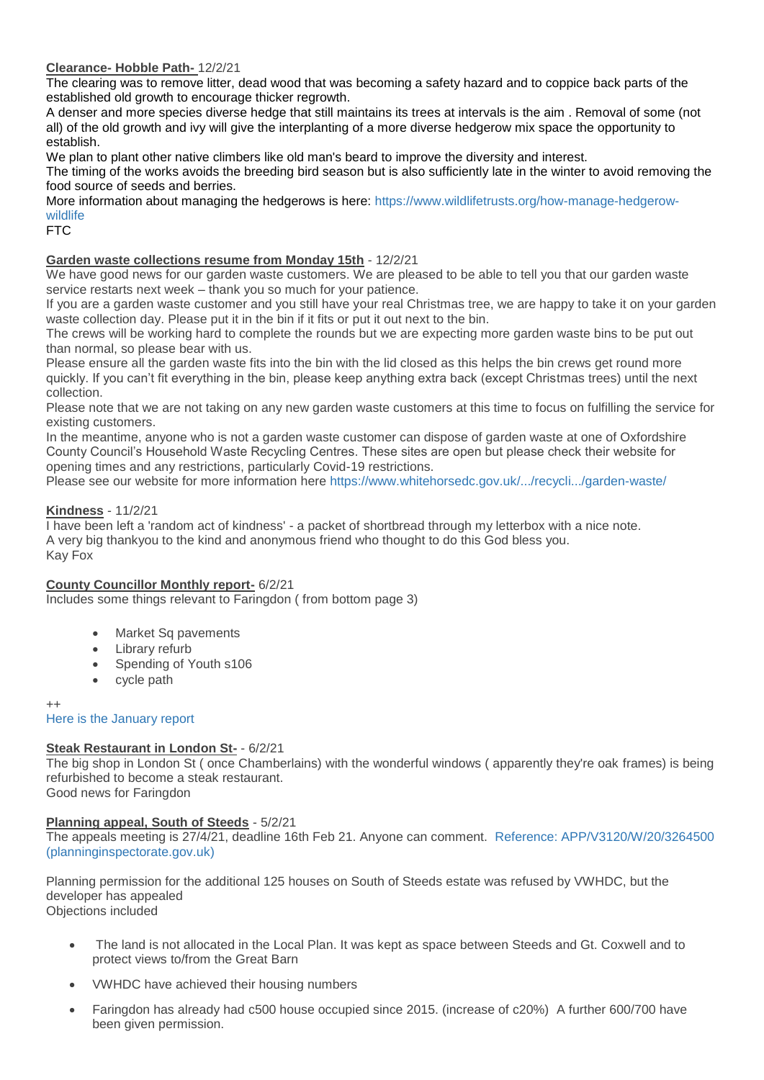### **Clearance- Hobble Path-** 12/2/21

The clearing was to remove litter, dead wood that was becoming a safety hazard and to coppice back parts of the established old growth to encourage thicker regrowth.

A denser and more species diverse hedge that still maintains its trees at intervals is the aim . Removal of some (not all) of the old growth and ivy will give the interplanting of a more diverse hedgerow mix space the opportunity to establish.

We plan to plant other native climbers like old man's beard to improve the diversity and interest.

The timing of the works avoids the breeding bird season but is also sufficiently late in the winter to avoid removing the food source of seeds and berries.

More information about managing the hedgerows is here: [https://www.wildlifetrusts.org/how-manage-hedgerow](https://www.wildlifetrusts.org/how-manage-hedgerow-wildlife?fbclid=IwAR0w9qBglLlIb-cW2RL1e0lRc0DmCXrwpyvcuOJLDwSQ4SvNJjNh2lThhs0)[wildlife](https://www.wildlifetrusts.org/how-manage-hedgerow-wildlife?fbclid=IwAR0w9qBglLlIb-cW2RL1e0lRc0DmCXrwpyvcuOJLDwSQ4SvNJjNh2lThhs0)

### FTC

# **Garden waste collections resume from Monday 15th** - 12/2/21

We have good news for our garden waste customers. We are pleased to be able to tell you that our garden waste service restarts next week – thank you so much for your patience.

If you are a garden waste customer and you still have your real Christmas tree, we are happy to take it on your garden waste collection day. Please put it in the bin if it fits or put it out next to the bin.

The crews will be working hard to complete the rounds but we are expecting more garden waste bins to be put out than normal, so please bear with us.

Please ensure all the garden waste fits into the bin with the lid closed as this helps the bin crews get round more quickly. If you can't fit everything in the bin, please keep anything extra back (except Christmas trees) until the next collection.

Please note that we are not taking on any new garden waste customers at this time to focus on fulfilling the service for existing customers.

In the meantime, anyone who is not a garden waste customer can dispose of garden waste at one of Oxfordshire County Council's Household Waste Recycling Centres. These sites are open but please check their website for opening times and any restrictions, particularly Covid-19 restrictions.

Please see our website for more information here [https://www.whitehorsedc.gov.uk/.../recycli.../garden-waste/](https://www.whitehorsedc.gov.uk/vale-of-white-horse-district-council/recycling-rubbish-and-waste/garden-waste/?fbclid=IwAR0w9qBglLlIb-cW2RL1e0lRc0DmCXrwpyvcuOJLDwSQ4SvNJjNh2lThhs0)

### **Kindness** - 11/2/21

I have been left a 'random act of kindness' - a packet of shortbread through my letterbox with a nice note. A very big thankyou to the kind and anonymous friend who thought to do this God bless you. Kay Fox

### **County Councillor Monthly report-** 6/2/21

Includes some things relevant to Faringdon ( from bottom page 3)

- Market Sq pavements
- Library refurb
- Spending of Youth s106
- cycle path

++ [Here is the January report](http://weebly-file/1/4/7/6/14765418/occ_report_january_21.pdf)

### **Steak Restaurant in London St-** - 6/2/21

The big shop in London St ( once Chamberlains) with the wonderful windows ( apparently they're oak frames) is being refurbished to become a steak restaurant.

Good news for Faringdon

### **Planning appeal, South of Steeds** - 5/2/21

The appeals meeting is 27/4/21, deadline 16th Feb 21. Anyone can comment. [Reference: APP/V3120/W/20/3264500](https://acp.planninginspectorate.gov.uk/ViewCase.aspx?caseid=3264500)  [\(planninginspectorate.gov.uk\)](https://acp.planninginspectorate.gov.uk/ViewCase.aspx?caseid=3264500)

Planning permission for the additional 125 houses on South of Steeds estate was refused by VWHDC, but the developer has appealed Objections included

- The land is not allocated in the Local Plan. It was kept as space between Steeds and Gt. Coxwell and to protect views to/from the Great Barn
- VWHDC have achieved their housing numbers
- Faringdon has already had c500 house occupied since 2015. (increase of c20%) A further 600/700 have been given permission.